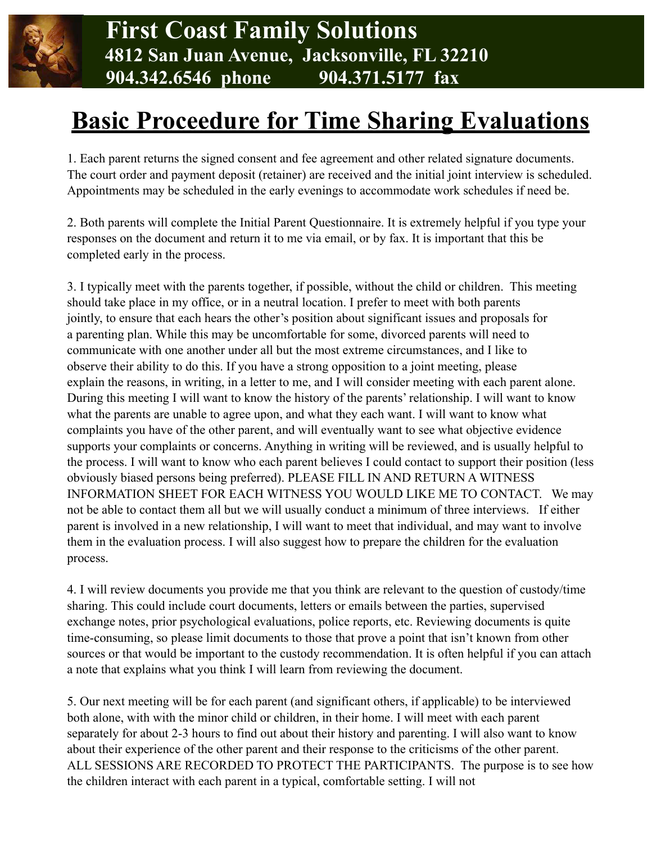

## **Basic Proceedure for Time Sharing Evaluations**

1. Each parent returns the signed consent and fee agreement and other related signature documents. The court order and payment deposit (retainer) are received and the initial joint interview is scheduled. Appointments may be scheduled in the early evenings to accommodate work schedules if need be.

2. Both parents will complete the Initial Parent Questionnaire. It is extremely helpful if you type your responses on the document and return it to me via email, or by fax. It is important that this be completed early in the process.

3. I typically meet with the parents together, if possible, without the child or children. This meeting should take place in my office, or in a neutral location. I prefer to meet with both parents jointly, to ensure that each hears the other's position about significant issues and proposals for a parenting plan. While this may be uncomfortable for some, divorced parents will need to communicate with one another under all but the most extreme circumstances, and I like to observe their ability to do this. If you have a strong opposition to a joint meeting, please explain the reasons, in writing, in a letter to me, and I will consider meeting with each parent alone. During this meeting I will want to know the history of the parents' relationship. I will want to know what the parents are unable to agree upon, and what they each want. I will want to know what complaints you have of the other parent, and will eventually want to see what objective evidence supports your complaints or concerns. Anything in writing will be reviewed, and is usually helpful to the process. I will want to know who each parent believes I could contact to support their position (less obviously biased persons being preferred). PLEASE FILL IN AND RETURN A WITNESS INFORMATION SHEET FOR EACH WITNESS YOU WOULD LIKE ME TO CONTACT. We may not be able to contact them all but we will usually conduct a minimum of three interviews. If either parent is involved in a new relationship, I will want to meet that individual, and may want to involve them in the evaluation process. I will also suggest how to prepare the children for the evaluation process.

4. I will review documents you provide me that you think are relevant to the question of custody/time sharing. This could include court documents, letters or emails between the parties, supervised exchange notes, prior psychological evaluations, police reports, etc. Reviewing documents is quite time-consuming, so please limit documents to those that prove a point that isn't known from other sources or that would be important to the custody recommendation. It is often helpful if you can attach a note that explains what you think I will learn from reviewing the document.

5. Our next meeting will be for each parent (and significant others, if applicable) to be interviewed both alone, with with the minor child or children, in their home. I will meet with each parent separately for about 2-3 hours to find out about their history and parenting. I will also want to know about their experience of the other parent and their response to the criticisms of the other parent. ALL SESSIONS ARE RECORDED TO PROTECT THE PARTICIPANTS. The purpose is to see how the children interact with each parent in a typical, comfortable setting. I will not